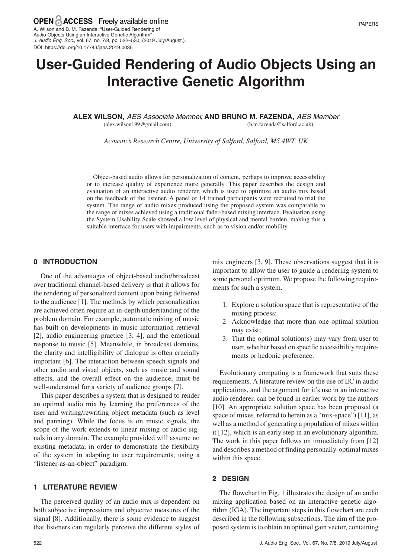A. Wilson and B. M. Fazenda, "User-Guided Rendering of Audio Objects Using an Interactive Genetic Algorithm" J. Audio Eng. Soc., vol. 67, no. 7/8, pp. 522–530, (2019 July/August.). DOI: https://doi.org/10.17743/jaes.2019.0035

# **User-Guided Rendering of Audio Objects Using an Interactive Genetic Algorithm**

**ALEX WILSON,** AES Associate Member , **AND BRUNO M. FAZENDA,** AES Member (b.m.fazenda@salford.ac.uk)

(alex.wilson199@gmail.com)

*Acoustics Research Centre, University of Salford, Salford, M5 4WT, UK*

Object-based audio allows for personalization of content, perhaps to improve accessibility or to increase quality of experience more generally. This paper describes the design and evaluation of an interactive audio renderer, which is used to optimize an audio mix based on the feedback of the listener. A panel of 14 trained participants were recruited to trial the system. The range of audio mixes produced using the proposed system was comparable to the range of mixes achieved using a traditional fader-based mixing interface. Evaluation using the System Usability Scale showed a low level of physical and mental burden, making this a suitable interface for users with impairments, such as to vision and/or mobility.

## **0 INTRODUCTION**

One of the advantages of object-based audio/broadcast over traditional channel-based delivery is that it allows for the rendering of personalized content upon being delivered to the audience [1]. The methods by which personalization are achieved often require an in-depth understanding of the problem domain. For example, automatic mixing of music has built on developments in music information retrieval [2], audio engineering practice [3, 4], and the emotional response to music [5]. Meanwhile, in broadcast domains, the clarity and intelligibility of dialogue is often crucially important [6]. The interaction between speech signals and other audio and visual objects, such as music and sound effects, and the overall effect on the audience, must be well-understood for a variety of audience groups [7].

This paper describes a system that is designed to render an optimal audio mix by learning the preferences of the user and writing/rewriting object metadata (such as level and panning). While the focus is on music signals, the scope of the work extends to linear mixing of audio signals in any domain. The example provided will assume no existing metadata, in order to demonstrate the flexibility of the system in adapting to user requirements, using a "listener-as-an-object" paradigm.

## **1 LITERATURE REVIEW**

The perceived quality of an audio mix is dependent on both subjective impressions and objective measures of the signal [8]. Additionally, there is some evidence to suggest that listeners can regularly perceive the different styles of mix engineers [3, 9]. These observations suggest that it is important to allow the user to guide a rendering system to some personal optimum. We propose the following requirements for such a system.

- 1. Explore a solution space that is representative of the mixing process;
- 2. Acknowledge that more than one optimal solution may exist;
- 3. That the optimal solution(s) may vary from user to user, whether based on specific accessibility requirements or hedonic preference.

Evolutionary computing is a framework that suits these requirements. A literature review on the use of EC in audio applications, and the argument for it's use in an interactive audio renderer, can be found in earlier work by the authors [10]. An appropriate solution space has been proposed (a space of mixes, referred to herein as a "mix-space") [11], as well as a method of generating a population of mixes within it [12], which is an early step in an evolutionary algorithm. The work in this paper follows on immediately from [12] and describes a method of finding personally-optimal mixes within this space.

## **2 DESIGN**

The flowchart in Fig. 1 illustrates the design of an audio mixing application based on an interactive genetic algorithm (IGA). The important steps in this flowchart are each described in the following subsections. The aim of the proposed system is to obtain an optimal gain vector, containing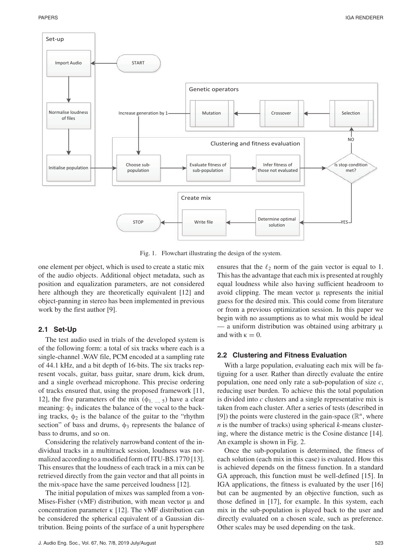

Fig. 1. Flowchart illustrating the design of the system.

one element per object, which is used to create a static mix of the audio objects. Additional object metadata, such as position and equalization parameters, are not considered here although they are theoretically equivalent [12] and object-panning in stereo has been implemented in previous work by the first author [9].

## **2.1 Set-Up**

The test audio used in trials of the developed system is of the following form: a total of six tracks where each is a single-channel .WAV file, PCM encoded at a sampling rate of 44.1 kHz, and a bit depth of 16-bits. The six tracks represent vocals, guitar, bass guitar, snare drum, kick drum, and a single overhead microphone. This precise ordering of tracks ensured that, using the proposed framework [11, 12], the five parameters of the mix  $(\phi_1, ..., \phi_n)$  have a clear meaning:  $\phi_1$  indicates the balance of the vocal to the backing tracks,  $\phi_2$  is the balance of the guitar to the "rhythm" section" of bass and drums,  $\phi_3$  represents the balance of bass to drums, and so on.

Considering the relatively narrowband content of the individual tracks in a multitrack session, loudness was normalized according to a modified form of ITU-BS.1770 [13]. This ensures that the loudness of each track in a mix can be retrieved directly from the gain vector and that all points in the mix-space have the same perceived loudness [12].

The initial population of mixes was sampled from a von-Mises-Fisher (vMF) distribution, with mean vector  $\mu$  and concentration parameter κ [12]. The vMF distribution can be considered the spherical equivalent of a Gaussian distribution. Being points of the surface of a unit hypersphere

ensures that the  $\ell_2$  norm of the gain vector is equal to 1. This has the advantage that each mix is presented at roughly equal loudness while also having sufficient headroom to avoid clipping. The mean vector  $\mu$  represents the initial guess for the desired mix. This could come from literature or from a previous optimization session. In this paper we begin with no assumptions as to what mix would be ideal  $\sim$  a uniform distribution was obtained using arbitrary  $\mu$ and with  $\kappa = 0$ .

## **2.2 Clustering and Fitness Evaluation**

With a large population, evaluating each mix will be fatiguing for a user. Rather than directly evaluate the entire population, one need only rate a sub-population of size *c*, reducing user burden. To achieve this the total population is divided into *c* clusters and a single representative mix is taken from each cluster. After a series of tests (described in [9]) the points were clustered in the gain-space  $(\mathbb{R}^n)$ , where *n* is the number of tracks) using spherical *k*-means clustering, where the distance metric is the Cosine distance [14]. An example is shown in Fig. 2.

Once the sub-population is determined, the fitness of each solution (each mix in this case) is evaluated. How this is achieved depends on the fitness function. In a standard GA approach, this function must be well-defined [15]. In IGA applications, the fitness is evaluated by the user [16] but can be augmented by an objective function, such as those defined in [17], for example. In this system, each mix in the sub-population is played back to the user and directly evaluated on a chosen scale, such as preference. Other scales may be used depending on the task.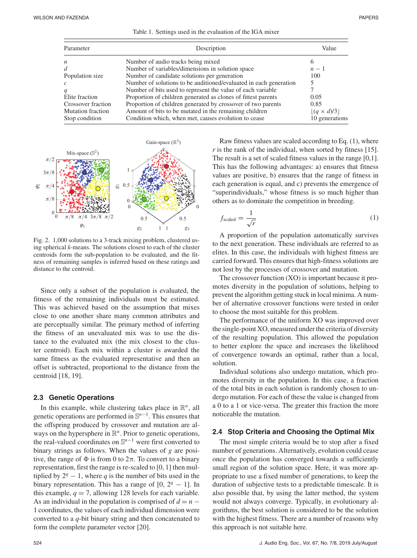|  |  |  |  | Table 1. Settings used in the evaluation of the IGA mixer |  |  |  |
|--|--|--|--|-----------------------------------------------------------|--|--|--|
|--|--|--|--|-----------------------------------------------------------|--|--|--|

| Parameter                | Description                                                       | Value              |  |
|--------------------------|-------------------------------------------------------------------|--------------------|--|
| $\boldsymbol{n}$         | Number of audio tracks being mixed.                               | <sub>(</sub>       |  |
| $\overline{d}$           | Number of variables/dimensions in solution space                  | $n-1$              |  |
| Population size          | Number of candidate solutions per generation                      | 100                |  |
| $\mathcal{C}$            | Number of solutions to be auditioned/evaluated in each generation |                    |  |
| $\boldsymbol{q}$         | Number of bits used to represent the value of each variable       |                    |  |
| Elite fraction           | Proportion of children generated as clones of fittest parents     | 0.05               |  |
| Crossover fraction       | Proportion of children generated by crossover of two parents      | 0.85               |  |
| <b>Mutation fraction</b> | Amount of bits to be mutated in the remaining children            | $ (q \times d)/3 $ |  |
| Stop condition           | Condition which, when met, causes evolution to cease              | 10 generations     |  |



Fig. 2. 1,000 solutions to a 3-track mixing problem, clustered using spherical *k*-means. The solutions closest to each of the cluster centroids form the sub-population to be evaluated, and the fitness of remaining samples is inferred based on these ratings and distance to the centroid.

Since only a subset of the population is evaluated, the fitness of the remaining individuals must be estimated. This was achieved based on the assumption that mixes close to one another share many common attributes and are perceptually similar. The primary method of inferring the fitness of an unevaluated mix was to use the distance to the evaluated mix (the mix closest to the cluster centroid). Each mix within a cluster is awarded the same fitness as the evaluated representative and then an offset is subtracted, proportional to the distance from the centroid [18, 19].

## **2.3 Genetic Operations**

In this example, while clustering takes place in  $\mathbb{R}^n$ , all genetic operations are performed in S*<sup>n</sup>*−1. This ensures that the offspring produced by crossover and mutation are always on the hypersphere in  $\mathbb{R}^n$ . Prior to genetic operations, the real-valued coordinates on S*<sup>n</sup>*−<sup>1</sup> were first converted to binary strings as follows. When the values of *g* are positive, the range of  $\Phi$  is from 0 to  $2\pi$ . To convert to a binary representation, first the range is re-scaled to [0, 1] then multiplied by  $2^q - 1$ , where *q* is the number of bits used in the binary representation. This has a range of  $[0, 2<sup>q</sup> - 1]$ . In this example,  $q = 7$ , allowing 128 levels for each variable. As an individual in the population is comprised of  $d = n -$ 1 coordinates, the values of each individual dimension were converted to a *q*-bit binary string and then concatenated to form the complete parameter vector [20].

Raw fitness values are scaled according to Eq. (1), where *r* is the rank of the individual, when sorted by fitness [15]. The result is a set of scaled fitness values in the range [0,1]. This has the following advantages: a) ensures that fitness values are positive, b) ensures that the range of fitness in each generation is equal, and c) prevents the emergence of "superindividuals," whose fitness is so much higher than others as to dominate the competition in breeding.

$$
f_{\text{scaled}} = \frac{1}{\sqrt{r}} \tag{1}
$$

A proportion of the population automatically survives to the next generation. These individuals are referred to as elites. In this case, the individuals with highest fitness are carried forward. This ensures that high-fitness solutions are not lost by the processes of crossover and mutation.

The crossover function (XO) is important because it promotes diversity in the population of solutions, helping to prevent the algorithm getting stuck in local minima. A number of alternative crossover functions were tested in order to choose the most suitable for this problem.

The performance of the uniform XO was improved over the single-point XO, measured under the criteria of diversity of the resulting population. This allowed the population to better explore the space and increases the likelihood of convergence towards an optimal, rather than a local, solution.

Individual solutions also undergo mutation, which promotes diversity in the population. In this case, a fraction of the total bits in each solution is randomly chosen to undergo mutation. For each of these the value is changed from a 0 to a 1 or vice-versa. The greater this fraction the more noticeable the mutation.

## **2.4 Stop Criteria and Choosing the Optimal Mix**

The most simple criteria would be to stop after a fixed number of generations. Alternatively, evolution could cease once the population has converged towards a sufficiently small region of the solution space. Here, it was more appropriate to use a fixed number of generations, to keep the duration of subjective tests to a predictable timescale. It is also possible that, by using the latter method, the system would not always converge. Typically, in evolutionary algorithms, the best solution is considered to be the solution with the highest fitness. There are a number of reasons why this approach is not suitable here.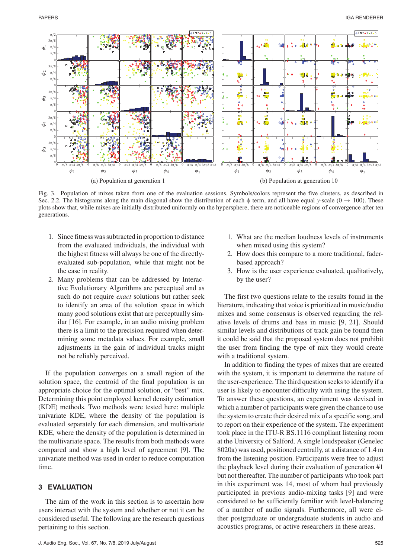

Fig. 3. Population of mixes taken from one of the evaluation sessions. Symbols/colors represent the five clusters, as described in Sec. 2.2. The histograms along the main diagonal show the distribution of each φ term, and all have equal *y*-scale (0  $\rightarrow$  100). These plots show that, while mixes are initially distributed uniformly on the hypersphere, there are noticeable regions of convergence after ten generations.

- 1. Since fitness was subtracted in proportion to distance from the evaluated individuals, the individual with the highest fitness will always be one of the directlyevaluated sub-population, while that might not be the case in reality.
- 2. Many problems that can be addressed by Interactive Evolutionary Algorithms are perceptual and as such do not require *exact* solutions but rather seek to identify an area of the solution space in which many good solutions exist that are perceptually similar [16]. For example, in an audio mixing problem there is a limit to the precision required when determining some metadata values. For example, small adjustments in the gain of individual tracks might not be reliably perceived.

If the population converges on a small region of the solution space, the centroid of the final population is an appropriate choice for the optimal solution, or "best" mix. Determining this point employed kernel density estimation (KDE) methods. Two methods were tested here: multiple univariate KDE, where the density of the population is evaluated separately for each dimension, and multivariate KDE, where the density of the population is determined in the multivariate space. The results from both methods were compared and show a high level of agreement [9]. The univariate method was used in order to reduce computation time.

## **3 EVALUATION**

The aim of the work in this section is to ascertain how users interact with the system and whether or not it can be considered useful. The following are the research questions pertaining to this section.

- 1. What are the median loudness levels of instruments when mixed using this system?
- 2. How does this compare to a more traditional, faderbased approach?
- 3. How is the user experience evaluated, qualitatively, by the user?

The first two questions relate to the results found in the literature, indicating that voice is prioritized in music/audio mixes and some consensus is observed regarding the relative levels of drums and bass in music [9, 21]. Should similar levels and distributions of track gain be found then it could be said that the proposed system does not prohibit the user from finding the type of mix they would create with a traditional system.

In addition to finding the types of mixes that are created with the system, it is important to determine the nature of the user-experience. The third question seeks to identify if a user is likely to encounter difficulty with using the system. To answer these questions, an experiment was devised in which a number of participants were given the chance to use the system to create their desired mix of a specific song, and to report on their experience of the system. The experiment took place in the ITU-R BS.1116 compliant listening room at the University of Salford. A single loudspeaker (Genelec 8020a) was used, positioned centrally, at a distance of 1.4 m from the listening position. Participants were free to adjust the playback level during their evaluation of generation #1 but not thereafter. The number of participants who took part in this experiment was 14, most of whom had previously participated in previous audio-mixing tasks [9] and were considered to be sufficiently familiar with level-balancing of a number of audio signals. Furthermore, all were either postgraduate or undergraduate students in audio and acoustics programs, or active researchers in these areas.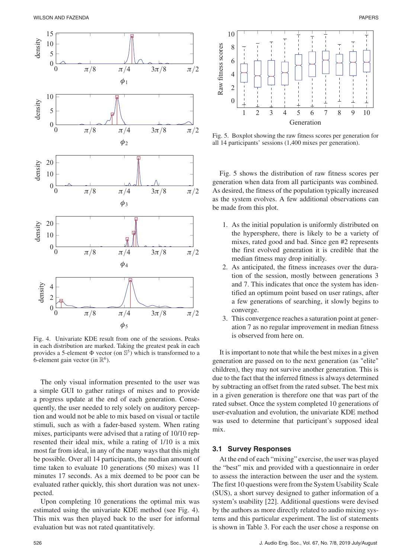

Fig. 4. Univariate KDE result from one of the sessions. Peaks in each distribution are marked. Taking the greatest peak in each provides a 5-element  $\Phi$  vector (on  $\mathbb{S}^5$ ) which is transformed to a 6-element gain vector (in  $\mathbb{R}^6$ ).

The only visual information presented to the user was a simple GUI to gather ratings of mixes and to provide a progress update at the end of each generation. Consequently, the user needed to rely solely on auditory perception and would not be able to mix based on visual or tactile stimuli, such as with a fader-based system. When rating mixes, participants were advised that a rating of 10/10 represented their ideal mix, while a rating of 1/10 is a mix most far from ideal, in any of the many ways that this might be possible. Over all 14 participants, the median amount of time taken to evaluate 10 generations (50 mixes) was 11 minutes 17 seconds. As a mix deemed to be poor can be evaluated rather quickly, this short duration was not unexpected.

Upon completing 10 generations the optimal mix was estimated using the univariate KDE method (see Fig. 4). This mix was then played back to the user for informal evaluation but was not rated quantitatively.



Fig. 5. Boxplot showing the raw fitness scores per generation for all 14 participants' sessions (1,400 mixes per generation).

Fig. 5 shows the distribution of raw fitness scores per generation when data from all participants was combined. As desired, the fitness of the population typically increased as the system evolves. A few additional observations can be made from this plot.

- 1. As the initial population is uniformly distributed on the hypersphere, there is likely to be a variety of mixes, rated good and bad. Since gen #2 represents the first evolved generation it is credible that the median fitness may drop initially.
- 2. As anticipated, the fitness increases over the duration of the session, mostly between generations 3 and 7. This indicates that once the system has identified an optimum point based on user ratings, after a few generations of searching, it slowly begins to converge.
- 3. This convergence reaches a saturation point at generation 7 as no regular improvement in median fitness is observed from here on.

It is important to note that while the best mixes in a given generation are passed on to the next generation (as "elite" children), they may not survive another generation. This is due to the fact that the inferred fitness is always determined by subtracting an offset from the rated subset. The best mix in a given generation is therefore one that was part of the rated subset. Once the system completed 10 generations of user-evaluation and evolution, the univariate KDE method was used to determine that participant's supposed ideal mix.

#### **3.1 Survey Responses**

At the end of each "mixing" exercise, the user was played the "best" mix and provided with a questionnaire in order to assess the interaction between the user and the system. The first 10 questions were from the System Usability Scale (SUS), a short survey designed to gather information of a system's usability [22]. Additional questions were devised by the authors as more directly related to audio mixing systems and this particular experiment. The list of statements is shown in Table 3. For each the user chose a response on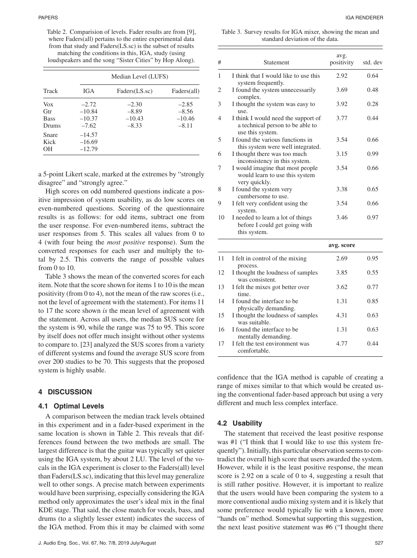Table 2. Comparision of levels. Fader results are from [9], where Faders(all) pertains to the entire experimental data from that study and Faders(LS.sc) is the subset of results matching the conditions in this, IGA, study (using loudspeakers and the song "Sister Cities" by Hop Along).

|                                           |                                            | Median Level (LUFS)                       |                                           |
|-------------------------------------------|--------------------------------------------|-------------------------------------------|-------------------------------------------|
| Track                                     | IGA                                        | Faders(LS.sc)                             | Faders(all)                               |
| <b>Vox</b><br>Gtr<br><b>Bass</b><br>Drums | $-2.72$<br>$-10.84$<br>$-10.37$<br>$-7.62$ | $-2.30$<br>$-8.89$<br>$-10.43$<br>$-8.33$ | $-2.85$<br>$-8.56$<br>$-10.46$<br>$-8.11$ |
| Snare<br>Kick<br>OН                       | $-14.57$<br>$-16.69$<br>$-12.79$           |                                           |                                           |

a 5-point Likert scale, marked at the extremes by "strongly disagree" and "strongly agree."

High scores on odd numbered questions indicate a positive impression of system usability, as do low scores on even-numbered questions. Scoring of the questionnaire results is as follows: for odd items, subtract one from the user response. For even-numbered items, subtract the user responses from 5. This scales all values from 0 to 4 (with four being the *most positive* response). Sum the converted responses for each user and multiply the total by 2.5. This converts the range of possible values from 0 to 10.

Table 3 shows the mean of the converted scores for each item. Note that the score shown for items 1 to 10 is the mean positivity (from 0 to 4), not the mean of the raw scores (i.e., not the level of agreement with the statement). For items 11 to 17 the score shown *is* the mean level of agreement with the statement. Across all users, the median SUS score for the system is 90, while the range was 75 to 95. This score by itself does not offer much insight without other systems to compare to. [23] analyzed the SUS scores from a variety of different systems and found the average SUS score from over 200 studies to be 70. This suggests that the proposed system is highly usable.

#### **4 DISCUSSION**

#### **4.1 Optimal Levels**

A comparison between the median track levels obtained in this experiment and in a fader-based experiment in the same location is shown in Table 2. This reveals that differences found between the two methods are small. The largest difference is that the guitar was typically set quieter using the IGA system, by about 2 LU. The level of the vocals in the IGA experiment is closer to the Faders(all) level than Faders(LS.sc), indicating that this level may generalize well to other songs. A precise match between experiments would have been surprising, especially considering the IGA method only approximates the user's ideal mix in the final KDE stage. That said, the close match for vocals, bass, and drums (to a slightly lesser extent) indicates the success of the IGA method. From this it may be claimed with some

Table 3. Survey results for IGA mixer, showing the mean and standard deviation of the data.

| #  | Statement                                                                                   | avg.<br>positivity | std. dev |
|----|---------------------------------------------------------------------------------------------|--------------------|----------|
| 1  | I think that I would like to use this<br>system frequently.                                 | 2.92               | 0.64     |
| 2  | I found the system unnecessarily<br>complex.                                                | 3.69               | 0.48     |
| 3  | I thought the system was easy to<br>use.                                                    | 3.92               | 0.28     |
| 4  | I think I would need the support of<br>a technical person to be able to<br>use this system. | 3.77               | 0.44     |
| 5  | I found the various functions in<br>this system were well integrated.                       | 3.54               | 0.66     |
| 6  | I thought there was too much<br>inconsistency in this system.                               | 3.15               | 0.99     |
| 7  | I would imagine that most people<br>would learn to use this system<br>very quickly.         | 3.54               | 0.66     |
| 8  | I found the system very<br>cumbersome to use.                                               | 3.38               | 0.65     |
| 9  | I felt very confident using the<br>system.                                                  | 3.54               | 0.66     |
| 10 | I needed to learn a lot of things<br>before I could get going with<br>this system.          | 3.46               | 0.97     |
|    |                                                                                             | avg. score         |          |
| 11 | I felt in control of the mixing<br>process.                                                 | 2.69               | 0.95     |
| 12 | I thought the loudness of samples<br>was consistent.                                        | 3.85               | 0.55     |
| 13 | I felt the mixes got better over<br>time.                                                   | 3.62               | 0.77     |
| 14 | I found the interface to be<br>physically demanding.                                        | 1.31               | 0.85     |
| 15 | I thought the loudness of samples                                                           | 4.31               | 0.63     |

|    | was suitable.                   |      |      |
|----|---------------------------------|------|------|
|    | 16 I found the interface to be  | 1.31 | 0.63 |
|    | mentally demanding.             |      |      |
| 17 | I felt the test environment was | 4.77 | 0.44 |
|    | comfortable.                    |      |      |

confidence that the IGA method is capable of creating a range of mixes similar to that which would be created using the conventional fader-based approach but using a very different and much less complex interface.

# **4.2 Usability**

The statement that received the least positive response was #1 ("I think that I would like to use this system frequently"). Initially, this particular observation seems to contradict the overall high score that users awarded the system. However, while it is the least positive response, the mean score is 2.92 on a scale of 0 to 4, suggesting a result that is still rather positive. However, it is important to realize that the users would have been comparing the system to a more conventional audio mixing system and it is likely that some preference would typically lie with a known, more "hands on" method. Somewhat supporting this suggestion, the next least positive statement was #6 ("I thought there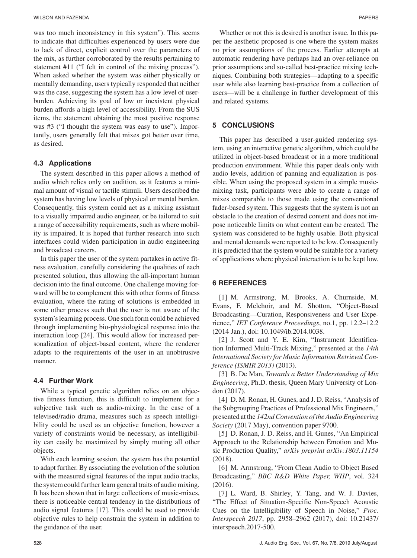was too much inconsistency in this system"). This seems to indicate that difficulties experienced by users were due to lack of direct, explicit control over the parameters of the mix, as further corroborated by the results pertaining to statement #11 ("I felt in control of the mixing process"). When asked whether the system was either physically or mentally demanding, users typically responded that neither was the case, suggesting the system has a low level of userburden. Achieving its goal of low or inexistent physical burden affords a high level of accessibility. From the SUS items, the statement obtaining the most positive response was #3 ("I thought the system was easy to use"). Importantly, users generally felt that mixes got better over time, as desired.

## **4.3 Applications**

The system described in this paper allows a method of audio which relies only on audition, as it features a minimal amount of visual or tactile stimuli. Users described the system has having low levels of physical or mental burden. Consequently, this system could act as a mixing assistant to a visually impaired audio engineer, or be tailored to suit a range of accessibility requirements, such as where mobility is impaired. It is hoped that further research into such interfaces could widen participation in audio engineering and broadcast careers.

In this paper the user of the system partakes in active fitness evaluation, carefully considering the qualities of each presented solution, thus allowing the all-important human decision into the final outcome. One challenge moving forward will be to complement this with other forms of fitness evaluation, where the rating of solutions is embedded in some other process such that the user is not aware of the system's learning process. One such form could be achieved through implementing bio-physiological response into the interaction loop [24]. This would allow for increased personalization of object-based content, where the renderer adapts to the requirements of the user in an unobtrusive manner.

#### **4.4 Further Work**

While a typical genetic algorithm relies on an objective fitness function, this is difficult to implement for a subjective task such as audio-mixing. In the case of a televised/radio drama, measures such as speech intelligibility could be used as an objective function, however a variety of constraints would be necessary, as intelligibility can easily be maximized by simply muting all other objects.

With each learning session, the system has the potential to adapt further. By associating the evolution of the solution with the measured signal features of the input audio tracks, the system could further learn general traits of audio mixing. It has been shown that in large collections of music-mixes, there is noticeable central tendency in the distributions of audio signal features [17]. This could be used to provide objective rules to help constrain the system in addition to the guidance of the user.

Whether or not this is desired is another issue. In this paper the aesthetic proposed is one where the system makes no prior assumptions of the process. Earlier attempts at automatic rendering have perhaps had an over-reliance on prior assumptions and so-called best-practice mixing techniques. Combining both strategies—adapting to a specific user while also learning best-practice from a collection of users—will be a challenge in further development of this and related systems.

# **5 CONCLUSIONS**

This paper has described a user-guided rendering system, using an interactive genetic algorithm, which could be utilized in object-based broadcast or in a more traditional production environment. While this paper deals only with audio levels, addition of panning and equalization is possible. When using the proposed system in a simple musicmixing task, participants were able to create a range of mixes comparable to those made using the conventional fader-based system. This suggests that the system is not an obstacle to the creation of desired content and does not impose noticeable limits on what content can be created. The system was considered to be highly usable. Both physical and mental demands were reported to be low. Consequently it is predicted that the system would be suitable for a variety of applications where physical interaction is to be kept low.

# **6 REFERENCES**

[1] M. Armstrong, M. Brooks, A. Churnside, M. Evans, F. Melchoir, and M. Shotton, "Object-Based Broadcasting—Curation, Responsiveness and User Experience," *IET Conference Proceedings*, no.1, pp. 12.2–12.2 (2014 Jan.), doi: 10.1049/ib.2014.0038.

[2] J. Scott and Y. E. Kim, "Instrument Identification Informed Multi-Track Mixing," presented at the *14th International Society for Music Information Retrieval Conference (ISMIR 2013)* (2013).

[3] B. De Man, *Towards a Better Understanding of Mix Engineering*, Ph.D. thesis, Queen Mary University of London (2017).

[4] D. M. Ronan, H. Gunes, and J. D. Reiss, "Analysis of the Subgrouping Practices of Professional Mix Engineers," presented at the *142nd Convention of the Audio Engineering Society* (2017 May), convention paper 9700.

[5] D. Ronan, J. D. Reiss, and H. Gunes, "An Empirical Approach to the Relationship between Emotion and Music Production Quality," *arXiv preprint arXiv:1803.11154* (2018).

[6] M. Armstrong, "From Clean Audio to Object Based Broadcasting," *BBC R&D White Paper, WHP*, vol. 324 (2016).

[7] L. Ward, B. Shirley, Y. Tang, and W. J. Davies, "The Effect of Situation-Specific Non-Speech Acoustic Cues on the Intelligibility of Speech in Noise," *Proc. Interspeech 2017*, pp. 2958–2962 (2017), doi: 10.21437/ interspeech.2017-500.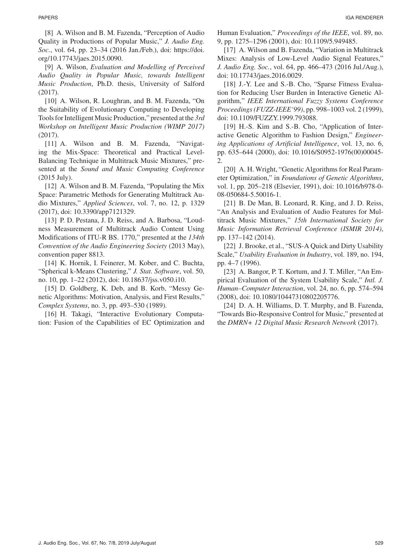[8] A. Wilson and B. M. Fazenda, "Perception of Audio Quality in Productions of Popular Music," *J. Audio Eng. Soc.*, vol. 64, pp. 23–34 (2016 Jan./Feb.), doi: https://doi. org/10.17743/jaes.2015.0090.

[9] A. Wilson, *Evaluation and Modelling of Perceived Audio Quality in Popular Music, towards Intelligent Music Production*, Ph.D. thesis, University of Salford (2017).

[10] A. Wilson, R. Loughran, and B. M. Fazenda, "On the Suitability of Evolutionary Computing to Developing Tools for Intelligent Music Production," presented at the *3rd Workshop on Intelligent Music Production (WIMP 2017)* (2017).

[11] A. Wilson and B. M. Fazenda, "Navigating the Mix-Space: Theoretical and Practical Level-Balancing Technique in Multitrack Music Mixtures," presented at the *Sound and Music Computing Conference* (2015 July).

[12] A. Wilson and B. M. Fazenda, "Populating the Mix Space: Parametric Methods for Generating Multitrack Audio Mixtures," *Applied Sciences*, vol. 7, no. 12, p. 1329 (2017), doi: 10.3390/app7121329.

[13] P. D. Pestana, J. D. Reiss, and A. Barbosa, "Loudness Measurement of Multitrack Audio Content Using Modifications of ITU-R BS. 1770," presented at the *134th Convention of the Audio Engineering Society* (2013 May), convention paper 8813.

[14] K. Hornik, I. Feinerer, M. Kober, and C. Buchta, "Spherical k-Means Clustering," *J. Stat. Software*, vol. 50, no. 10, pp. 1–22 (2012), doi: 10.18637/jss.v050.i10.

[15] D. Goldberg, K. Deb, and B. Korb, "Messy Genetic Algorithms: Motivation, Analysis, and First Results," *Complex Systems*, no. 3, pp. 493–530 (1989).

[16] H. Takagi, "Interactive Evolutionary Computation: Fusion of the Capabilities of EC Optimization and Human Evaluation," *Proceedings of the IEEE*, vol. 89, no. 9, pp. 1275–1296 (2001), doi: 10.1109/5.949485.

[17] A. Wilson and B. Fazenda, "Variation in Multitrack Mixes: Analysis of Low-Level Audio Signal Features," *J. Audio Eng. Soc.*, vol. 64, pp. 466–473 (2016 Jul./Aug.), doi: 10.17743/jaes.2016.0029.

[18] J.-Y. Lee and S.-B. Cho, "Sparse Fitness Evaluation for Reducing User Burden in Interactive Genetic Algorithm," *IEEE International Fuzzy Systems Conference Proceedings (FUZZ-IEEE'99)*, pp. 998–1003 vol. 2 (1999), doi: 10.1109/FUZZY.1999.793088.

[19] H.-S. Kim and S.-B. Cho, "Application of Interactive Genetic Algorithm to Fashion Design," *Engineering Applications of Artificial Intelligence*, vol. 13, no. 6, pp. 635–644 (2000), doi: 10.1016/S0952-1976(00)00045- 2.

[20] A. H. Wright, "Genetic Algorithms for Real Parameter Optimization," in *Foundations of Genetic Algorithms*, vol. 1, pp. 205–218 (Elsevier, 1991), doi: 10.1016/b978-0- 08-050684-5.50016-1.

[21] B. De Man, B. Leonard, R. King, and J. D. Reiss, "An Analysis and Evaluation of Audio Features for Multitrack Music Mixtures," *15th International Society for Music Information Retrieval Conference (ISMIR 2014)*, pp. 137–142 (2014).

[22] J. Brooke, et al., "SUS-A Quick and Dirty Usability Scale," *Usability Evaluation in Industry*, vol. 189, no. 194, pp. 4–7 (1996).

[23] A. Bangor, P. T. Kortum, and J. T. Miller, "An Empirical Evaluation of the System Usability Scale," *Intl. J. Human–Computer Interaction*, vol. 24, no. 6, pp. 574–594 (2008), doi: 10.1080/10447310802205776.

[24] D. A. H. Williams, D. T. Murphy, and B. Fazenda, "Towards Bio-Responsive Control for Music," presented at the *DMRN+ 12 Digital Music Research Network* (2017).